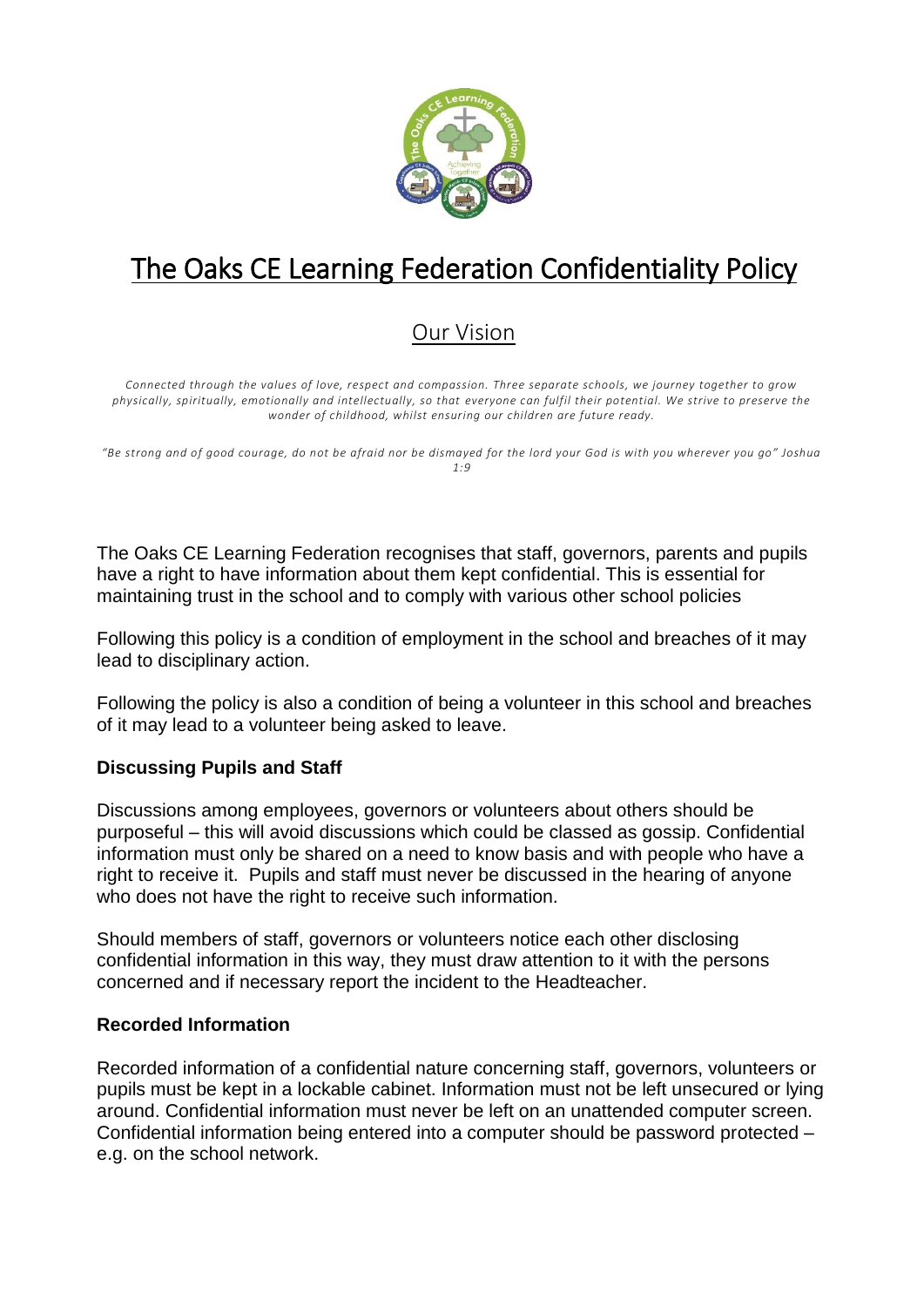

# The Oaks CE Learning Federation Confidentiality Policy

# Our Vision

*Connected through the values of love, respect and compassion. Three separate schools, we journey together to grow physically, spiritually, emotionally and intellectually, so that everyone can fulfil their potential. We strive to preserve the wonder of childhood, whilst ensuring our children are future ready.*

*"Be strong and of good courage, do not be afraid nor be dismayed for the lord your God is with you wherever you go" Joshua 1:9*

The Oaks CE Learning Federation recognises that staff, governors, parents and pupils have a right to have information about them kept confidential. This is essential for maintaining trust in the school and to comply with various other school policies

Following this policy is a condition of employment in the school and breaches of it may lead to disciplinary action.

Following the policy is also a condition of being a volunteer in this school and breaches of it may lead to a volunteer being asked to leave.

# **Discussing Pupils and Staff**

Discussions among employees, governors or volunteers about others should be purposeful – this will avoid discussions which could be classed as gossip. Confidential information must only be shared on a need to know basis and with people who have a right to receive it. Pupils and staff must never be discussed in the hearing of anyone who does not have the right to receive such information.

Should members of staff, governors or volunteers notice each other disclosing confidential information in this way, they must draw attention to it with the persons concerned and if necessary report the incident to the Headteacher.

#### **Recorded Information**

Recorded information of a confidential nature concerning staff, governors, volunteers or pupils must be kept in a lockable cabinet. Information must not be left unsecured or lying around. Confidential information must never be left on an unattended computer screen. Confidential information being entered into a computer should be password protected – e.g. on the school network.